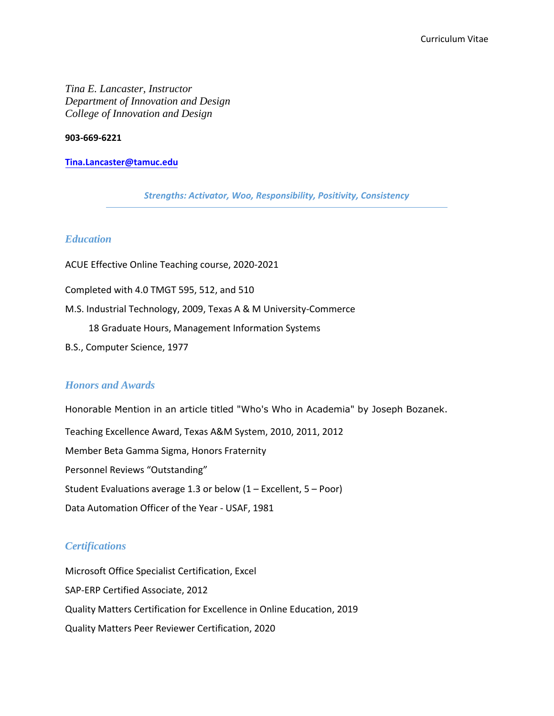*Tina E. Lancaster, Instructor Department of Innovation and Design College of Innovation and Design* 

#### **903-669-6221**

#### **[Tina.Lancaster@tamuc.edu](mailto:Tina.Lancaster@tamuc.edu)**

*Strengths: Activator, Woo, Responsibility, Positivity, Consistency*

# *Education*

ACUE Effective Online Teaching course, 2020-2021

Completed with 4.0 TMGT 595, 512, and 510

M.S. Industrial Technology, 2009, Texas A & M University-Commerce

18 Graduate Hours, Management Information Systems

B.S., Computer Science, 1977

## *Honors and Awards*

Honorable Mention in an article titled "Who's Who in Academia" by Joseph Bozanek. Teaching Excellence Award, Texas A&M System, 2010, 2011, 2012 Member Beta Gamma Sigma, Honors Fraternity Personnel Reviews "Outstanding" Student Evaluations average 1.3 or below  $(1 -$  Excellent,  $5 -$  Poor) Data Automation Officer of the Year - USAF, 1981

## *Certifications*

Microsoft Office Specialist Certification, Excel SAP-ERP Certified Associate, 2012 Quality Matters Certification for Excellence in Online Education, 2019 Quality Matters Peer Reviewer Certification, 2020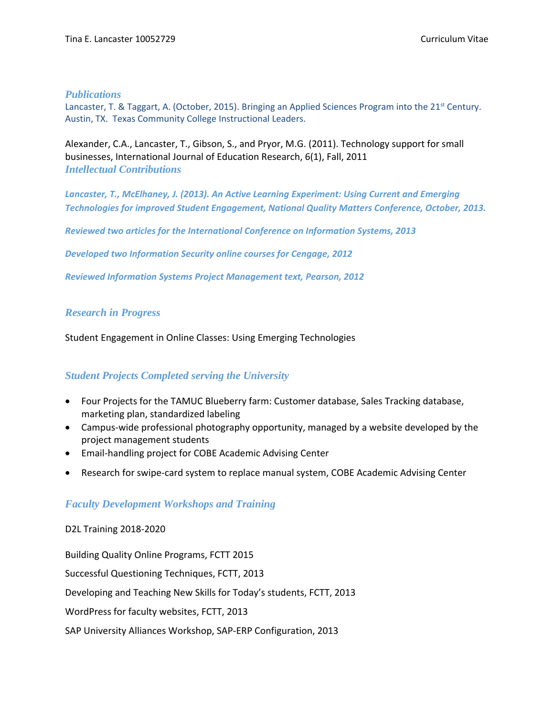## *Publications*

Lancaster, T. & Taggart, A. (October, 2015). Bringing an Applied Sciences Program into the 21<sup>st</sup> Century. Austin, TX. Texas Community College Instructional Leaders.

Alexander, C.A., Lancaster, T., Gibson, S., and Pryor, M.G. (2011). Technology support for small businesses, International Journal of Education Research, 6(1), Fall, 2011 *Intellectual Contributions*

*Lancaster, T., McElhaney, J. (2013). An Active Learning Experiment: Using Current and Emerging Technologies for improved Student Engagement, National Quality Matters Conference, October, 2013.*

*Reviewed two articles for the International Conference on Information Systems, 2013*

*Developed two Information Security online courses for Cengage, 2012*

*Reviewed Information Systems Project Management text, Pearson, 2012*

# *Research in Progress*

Student Engagement in Online Classes: Using Emerging Technologies

# *Student Projects Completed serving the University*

- Four Projects for the TAMUC Blueberry farm: Customer database, Sales Tracking database, marketing plan, standardized labeling
- Campus-wide professional photography opportunity, managed by a website developed by the project management students
- Email-handling project for COBE Academic Advising Center
- Research for swipe-card system to replace manual system, COBE Academic Advising Center

# *Faculty Development Workshops and Training*

## D2L Training 2018-2020

Building Quality Online Programs, FCTT 2015 Successful Questioning Techniques, FCTT, 2013 Developing and Teaching New Skills for Today's students, FCTT, 2013 WordPress for faculty websites, FCTT, 2013 SAP University Alliances Workshop, SAP-ERP Configuration, 2013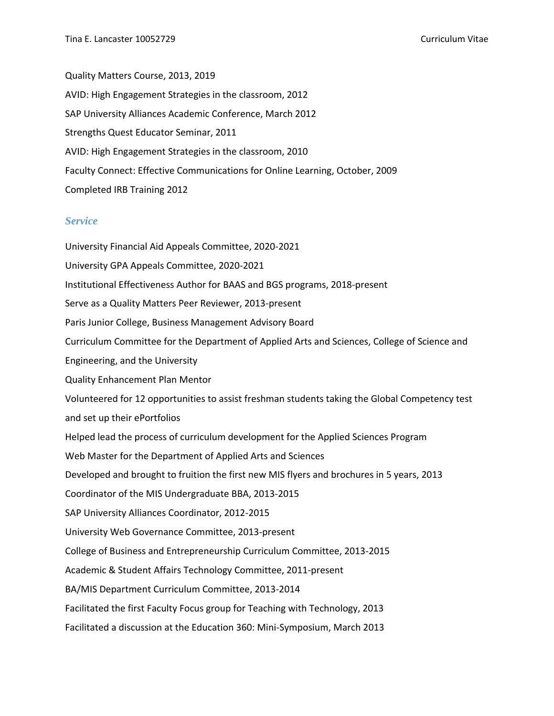Quality Matters Course, 2013, 2019 AVID: High Engagement Strategies in the classroom, 2012 SAP University Alliances Academic Conference, March 2012 Strengths Quest Educator Seminar, 2011 AVID: High Engagement Strategies in the classroom, 2010 Faculty Connect: Effective Communications for Online Learning, October, 2009 Completed IRB Training 2012

# *Service*

University Financial Aid Appeals Committee, 2020-2021 University GPA Appeals Committee, 2020-2021 Institutional Effectiveness Author for BAAS and BGS programs, 2018-present Serve as a Quality Matters Peer Reviewer, 2013-present Paris Junior College, Business Management Advisory Board Curriculum Committee for the Department of Applied Arts and Sciences, College of Science and Engineering, and the University Quality Enhancement Plan Mentor Volunteered for 12 opportunities to assist freshman students taking the Global Competency test and set up their ePortfolios Helped lead the process of curriculum development for the Applied Sciences Program Web Master for the Department of Applied Arts and Sciences Developed and brought to fruition the first new MIS flyers and brochures in 5 years, 2013 Coordinator of the MIS Undergraduate BBA, 2013-2015 SAP University Alliances Coordinator, 2012-2015 University Web Governance Committee, 2013-present College of Business and Entrepreneurship Curriculum Committee, 2013-2015 Academic & Student Affairs Technology Committee, 2011-present BA/MIS Department Curriculum Committee, 2013-2014 Facilitated the first Faculty Focus group for Teaching with Technology, 2013 Facilitated a discussion at the Education 360: Mini-Symposium, March 2013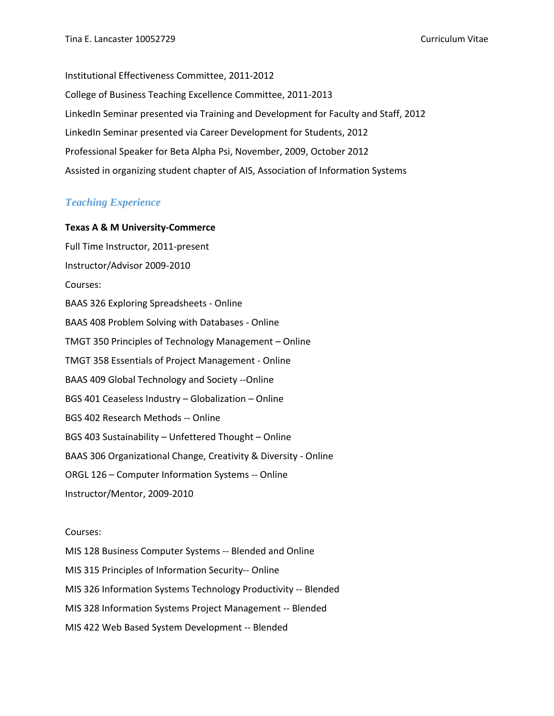Institutional Effectiveness Committee, 2011-2012 College of Business Teaching Excellence Committee, 2011-2013 LinkedIn Seminar presented via Training and Development for Faculty and Staff, 2012 LinkedIn Seminar presented via Career Development for Students, 2012 Professional Speaker for Beta Alpha Psi, November, 2009, October 2012 Assisted in organizing student chapter of AIS, Association of Information Systems

# *Teaching Experience*

## **Texas A & M University-Commerce**

Full Time Instructor, 2011-present Instructor/Advisor 2009-2010 Courses: BAAS 326 Exploring Spreadsheets - Online BAAS 408 Problem Solving with Databases - Online TMGT 350 Principles of Technology Management – Online TMGT 358 Essentials of Project Management - Online BAAS 409 Global Technology and Society --Online BGS 401 Ceaseless Industry – Globalization – Online BGS 402 Research Methods -- Online BGS 403 Sustainability – Unfettered Thought – Online BAAS 306 Organizational Change, Creativity & Diversity - Online ORGL 126 – Computer Information Systems -- Online Instructor/Mentor, 2009-2010

#### Courses:

MIS 128 Business Computer Systems -- Blended and Online MIS 315 Principles of Information Security-- Online MIS 326 Information Systems Technology Productivity -- Blended MIS 328 Information Systems Project Management -- Blended MIS 422 Web Based System Development -- Blended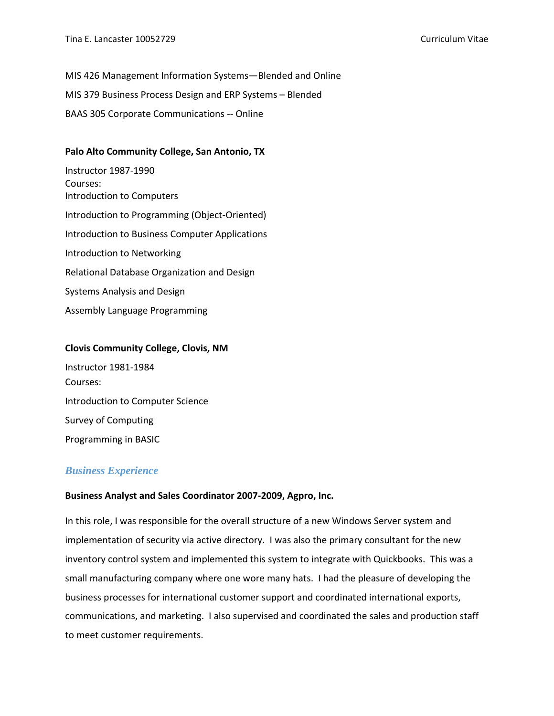MIS 426 Management Information Systems—Blended and Online MIS 379 Business Process Design and ERP Systems – Blended BAAS 305 Corporate Communications -- Online

# **Palo Alto Community College, San Antonio, TX**

Instructor 1987-1990 Courses: Introduction to Computers Introduction to Programming (Object-Oriented) Introduction to Business Computer Applications Introduction to Networking Relational Database Organization and Design Systems Analysis and Design Assembly Language Programming

#### **Clovis Community College, Clovis, NM**

Instructor 1981-1984 Courses: Introduction to Computer Science Survey of Computing Programming in BASIC

# *Business Experience*

#### **Business Analyst and Sales Coordinator 2007-2009, Agpro, Inc.**

In this role, I was responsible for the overall structure of a new Windows Server system and implementation of security via active directory. I was also the primary consultant for the new inventory control system and implemented this system to integrate with Quickbooks. This was a small manufacturing company where one wore many hats. I had the pleasure of developing the business processes for international customer support and coordinated international exports, communications, and marketing. I also supervised and coordinated the sales and production staff to meet customer requirements.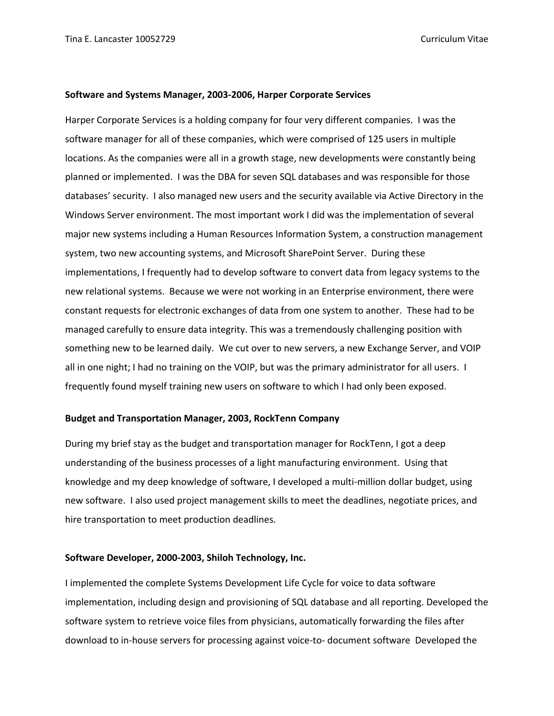#### **Software and Systems Manager, 2003-2006, Harper Corporate Services**

Harper Corporate Services is a holding company for four very different companies. I was the software manager for all of these companies, which were comprised of 125 users in multiple locations. As the companies were all in a growth stage, new developments were constantly being planned or implemented. I was the DBA for seven SQL databases and was responsible for those databases' security. I also managed new users and the security available via Active Directory in the Windows Server environment. The most important work I did was the implementation of several major new systems including a Human Resources Information System, a construction management system, two new accounting systems, and Microsoft SharePoint Server. During these implementations, I frequently had to develop software to convert data from legacy systems to the new relational systems. Because we were not working in an Enterprise environment, there were constant requests for electronic exchanges of data from one system to another. These had to be managed carefully to ensure data integrity. This was a tremendously challenging position with something new to be learned daily. We cut over to new servers, a new Exchange Server, and VOIP all in one night; I had no training on the VOIP, but was the primary administrator for all users. I frequently found myself training new users on software to which I had only been exposed.

#### **Budget and Transportation Manager, 2003, RockTenn Company**

During my brief stay as the budget and transportation manager for RockTenn, I got a deep understanding of the business processes of a light manufacturing environment. Using that knowledge and my deep knowledge of software, I developed a multi-million dollar budget, using new software. I also used project management skills to meet the deadlines, negotiate prices, and hire transportation to meet production deadlines.

#### **Software Developer, 2000-2003, Shiloh Technology, Inc.**

I implemented the complete Systems Development Life Cycle for voice to data software implementation, including design and provisioning of SQL database and all reporting. Developed the software system to retrieve voice files from physicians, automatically forwarding the files after download to in-house servers for processing against voice-to- document software Developed the